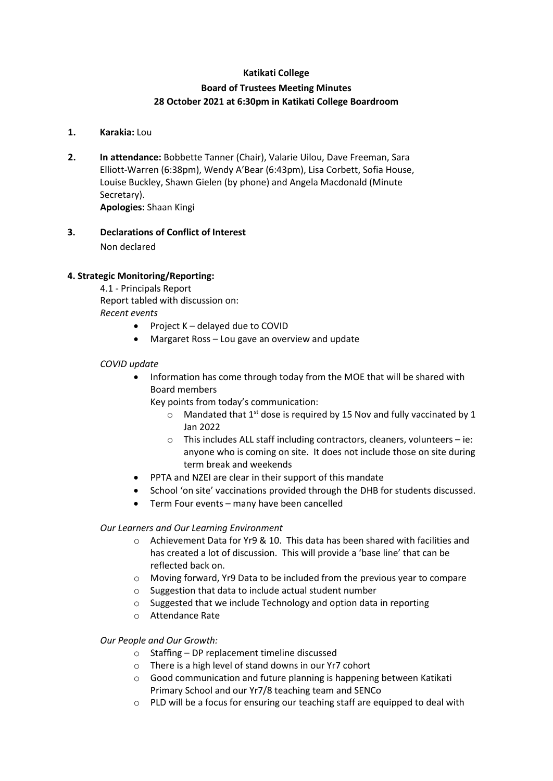# **Katikati College**

# **Board of Trustees Meeting Minutes 28 October 2021 at 6:30pm in Katikati College Boardroom**

## **1. Karakia:** Lou

- **2. In attendance:** Bobbette Tanner (Chair), Valarie Uilou, Dave Freeman, Sara Elliott-Warren (6:38pm), Wendy A'Bear (6:43pm), Lisa Corbett, Sofia House, Louise Buckley, Shawn Gielen (by phone) and Angela Macdonald (Minute Secretary). **Apologies:** Shaan Kingi
- **3. Declarations of Conflict of Interest**  Non declared

## **4. Strategic Monitoring/Reporting:**

4.1 - Principals Report Report tabled with discussion on: *Recent events*

- Project K delayed due to COVID
- Margaret Ross Lou gave an overview and update

## *COVID update*

• Information has come through today from the MOE that will be shared with Board members

Key points from today's communication:

- $\circ$  Mandated that 1<sup>st</sup> dose is required by 15 Nov and fully vaccinated by 1 Jan 2022
- o This includes ALL staff including contractors, cleaners, volunteers ie: anyone who is coming on site. It does not include those on site during term break and weekends
- PPTA and NZEI are clear in their support of this mandate
- School 'on site' vaccinations provided through the DHB for students discussed.
- Term Four events many have been cancelled

## *Our Learners and Our Learning Environment*

- o Achievement Data for Yr9 & 10. This data has been shared with facilities and has created a lot of discussion. This will provide a 'base line' that can be reflected back on.
- o Moving forward, Yr9 Data to be included from the previous year to compare
- o Suggestion that data to include actual student number
- o Suggested that we include Technology and option data in reporting
- o Attendance Rate

## *Our People and Our Growth:*

- o Staffing DP replacement timeline discussed
- o There is a high level of stand downs in our Yr7 cohort
- o Good communication and future planning is happening between Katikati Primary School and our Yr7/8 teaching team and SENCo
- $\circ$  PLD will be a focus for ensuring our teaching staff are equipped to deal with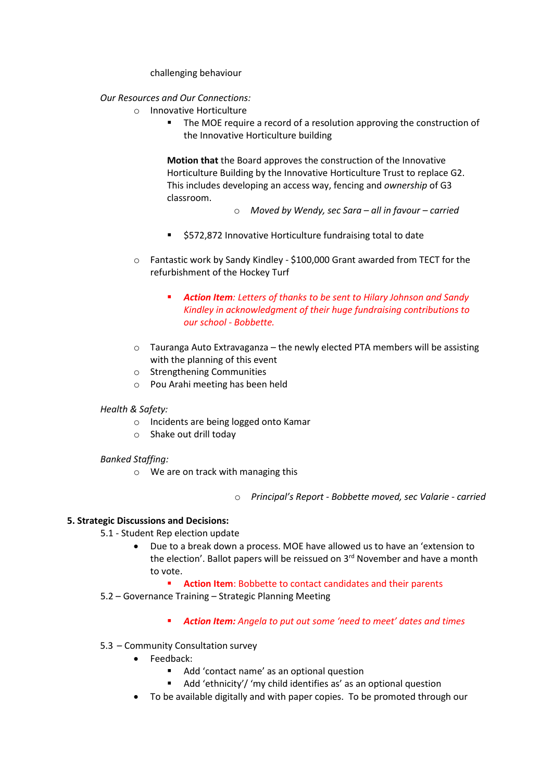challenging behaviour

## *Our Resources and Our Connections:*

- o Innovative Horticulture
	- The MOE require a record of a resolution approving the construction of the Innovative Horticulture building

**Motion that** the Board approves the construction of the Innovative Horticulture Building by the Innovative Horticulture Trust to replace G2. This includes developing an access way, fencing and *ownership* of G3 classroom.

- o *Moved by Wendy, sec Sara – all in favour – carried*
- \$572,872 Innovative Horticulture fundraising total to date
- o Fantastic work by Sandy Kindley \$100,000 Grant awarded from TECT for the refurbishment of the Hockey Turf
	- *Action Item: Letters of thanks to be sent to Hilary Johnson and Sandy Kindley in acknowledgment of their huge fundraising contributions to our school - Bobbette.*
- o Tauranga Auto Extravaganza the newly elected PTA members will be assisting with the planning of this event
- o Strengthening Communities
- o Pou Arahi meeting has been held

## *Health & Safety:*

- o Incidents are being logged onto Kamar
- o Shake out drill today

# *Banked Staffing:*

o We are on track with managing this

o *Principal's Report - Bobbette moved, sec Valarie - carried*

## **5. Strategic Discussions and Decisions:**

- 5.1 Student Rep election update
	- Due to a break down a process. MOE have allowed us to have an 'extension to the election'. Ballot papers will be reissued on 3<sup>rd</sup> November and have a month to vote.
		- **Action Item**: Bobbette to contact candidates and their parents
- 5.2 Governance Training Strategic Planning Meeting
	- *Action Item: Angela to put out some 'need to meet' dates and times*
- 5.3 Community Consultation survey
	- Feedback:
		- Add 'contact name' as an optional question
		- Add 'ethnicity'/ 'my child identifies as' as an optional question
	- To be available digitally and with paper copies. To be promoted through our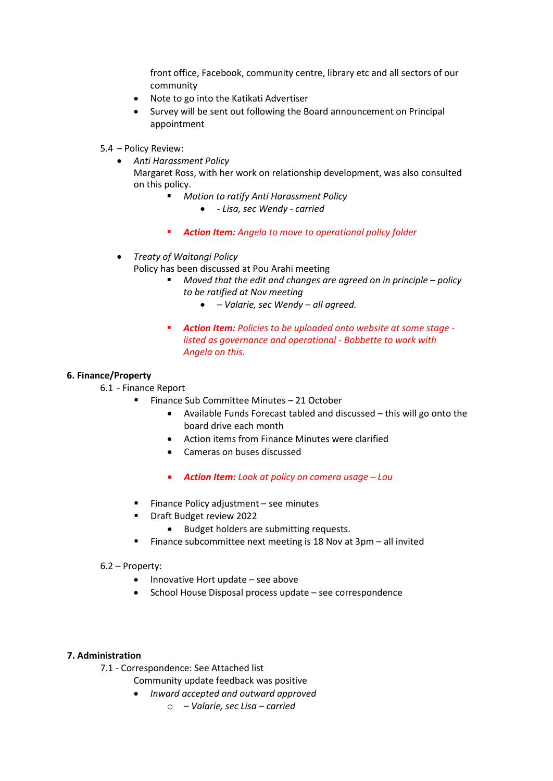front office, Facebook, community centre, library etc and all sectors of our community

- Note to go into the Katikati Advertiser
- Survey will be sent out following the Board announcement on Principal appointment
- 5.4 Policy Review:
	- *Anti Harassment Policy*

Margaret Ross, with her work on relationship development, was also consulted on this policy.

- *Motion to ratify Anti Harassment Policy*
	- *- Lisa, sec Wendy - carried*
- *Action Item: Angela to move to operational policy folder*
- *Treaty of Waitangi Policy* 
	- Policy has been discussed at Pou Arahi meeting
		- *Moved that the edit and changes are agreed on in principle – policy to be ratified at Nov meeting* 
			- *– Valarie, sec Wendy – all agreed.*
		- *Action Item: Policies to be uploaded onto website at some stage listed as governance and operational - Bobbette to work with Angela on this.*

## **6. Finance/Property**

- 6.1 Finance Report
	- Finance Sub Committee Minutes 21 October
		- Available Funds Forecast tabled and discussed this will go onto the board drive each month
		- Action items from Finance Minutes were clarified
		- Cameras on buses discussed
		- *Action Item: Look at policy on camera usage – Lou*
		- $\blacksquare$  Finance Policy adjustment see minutes
			- Draft Budget review 2022
				- Budget holders are submitting requests.
		- Finance subcommittee next meeting is 18 Nov at  $3pm -$  all invited

## 6.2 – Property:

- Innovative Hort update see above
- School House Disposal process update see correspondence

## **7. Administration**

7.1 - Correspondence: See Attached list

- Community update feedback was positive
- *Inward accepted and outward approved*
	- o *– Valarie, sec Lisa – carried*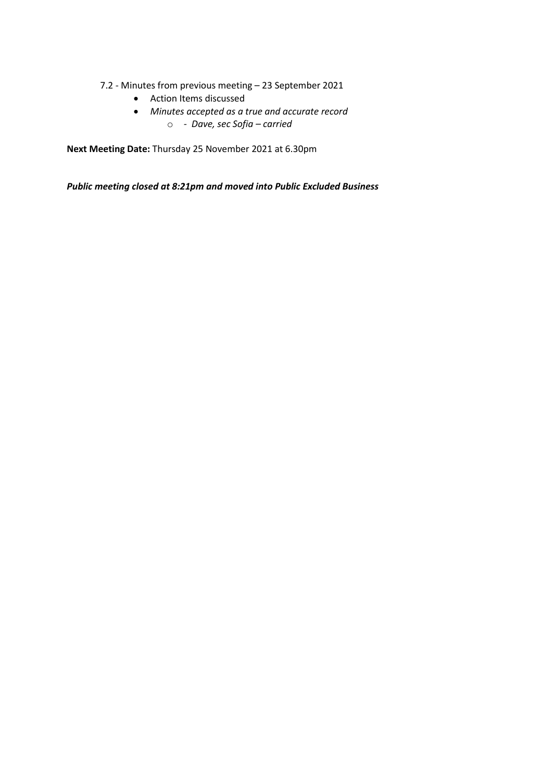- 7.2 Minutes from previous meeting 23 September 2021
	- Action Items discussed
	- *Minutes accepted as a true and accurate record*  o *- Dave, sec Sofia – carried*

**Next Meeting Date:** Thursday 25 November 2021 at 6.30pm

*Public meeting closed at 8:21pm and moved into Public Excluded Business*